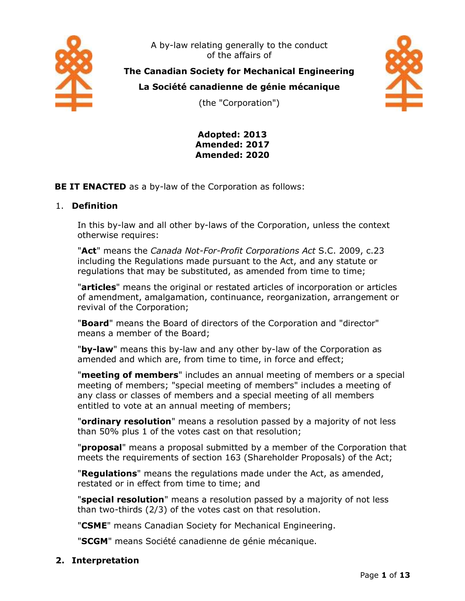

A by-law relating generally to the conduct of the affairs of

**The Canadian Society for Mechanical Engineering**

**La Société canadienne de génie mécanique**





**Adopted: 2013 Amended: 2017 Amended: 2020**

**BE IT ENACTED** as a by-law of the Corporation as follows:

# 1. **Definition**

In this by-law and all other by-laws of the Corporation, unless the context otherwise requires:

"**Act**" means the *Canada Not-For-Profit Corporations Act* S.C. 2009, c.23 including the Regulations made pursuant to the Act, and any statute or regulations that may be substituted, as amended from time to time;

"**articles**" means the original or restated articles of incorporation or articles of amendment, amalgamation, continuance, reorganization, arrangement or revival of the Corporation;

"**Board**" means the Board of directors of the Corporation and "director" means a member of the Board;

"**by-law**" means this by-law and any other by-law of the Corporation as amended and which are, from time to time, in force and effect;

"**meeting of members**" includes an annual meeting of members or a special meeting of members; "special meeting of members" includes a meeting of any class or classes of members and a special meeting of all members entitled to vote at an annual meeting of members;

"**ordinary resolution**" means a resolution passed by a majority of not less than 50% plus 1 of the votes cast on that resolution;

"**proposal**" means a proposal submitted by a member of the Corporation that meets the requirements of section 163 (Shareholder Proposals) of the Act;

"**Regulations**" means the regulations made under the Act, as amended, restated or in effect from time to time; and

"**special resolution**" means a resolution passed by a majority of not less than two-thirds (2/3) of the votes cast on that resolution.

"**CSME**" means Canadian Society for Mechanical Engineering.

"**SCGM**" means Société canadienne de génie mécanique.

**2. Interpretation**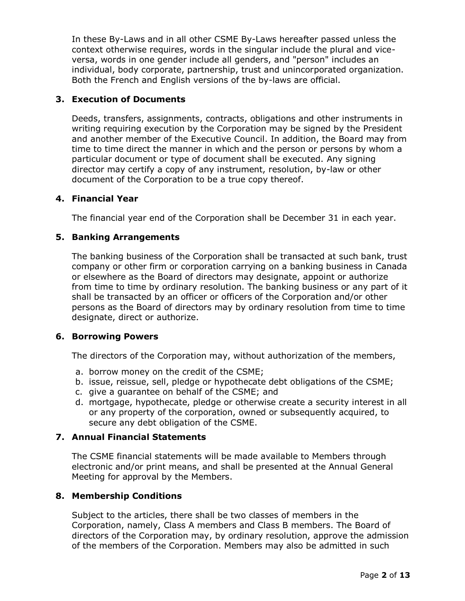In these By-Laws and in all other CSME By-Laws hereafter passed unless the context otherwise requires, words in the singular include the plural and viceversa, words in one gender include all genders, and "person" includes an individual, body corporate, partnership, trust and unincorporated organization. Both the French and English versions of the by-laws are official.

# **3. Execution of Documents**

Deeds, transfers, assignments, contracts, obligations and other instruments in writing requiring execution by the Corporation may be signed by the President and another member of the Executive Council. In addition, the Board may from time to time direct the manner in which and the person or persons by whom a particular document or type of document shall be executed. Any signing director may certify a copy of any instrument, resolution, by-law or other document of the Corporation to be a true copy thereof.

# **4. Financial Year**

The financial year end of the Corporation shall be December 31 in each year.

# **5. Banking Arrangements**

The banking business of the Corporation shall be transacted at such bank, trust company or other firm or corporation carrying on a banking business in Canada or elsewhere as the Board of directors may designate, appoint or authorize from time to time by ordinary resolution. The banking business or any part of it shall be transacted by an officer or officers of the Corporation and/or other persons as the Board of directors may by ordinary resolution from time to time designate, direct or authorize.

# **6. Borrowing Powers**

The directors of the Corporation may, without authorization of the members,

- a. borrow money on the credit of the CSME;
- b. issue, reissue, sell, pledge or hypothecate debt obligations of the CSME;
- c. give a guarantee on behalf of the CSME; and
- d. mortgage, hypothecate, pledge or otherwise create a security interest in all or any property of the corporation, owned or subsequently acquired, to secure any debt obligation of the CSME.

# **7. Annual Financial Statements**

The CSME financial statements will be made available to Members through electronic and/or print means, and shall be presented at the Annual General Meeting for approval by the Members.

# **8. Membership Conditions**

Subject to the articles, there shall be two classes of members in the Corporation, namely, Class A members and Class B members. The Board of directors of the Corporation may, by ordinary resolution, approve the admission of the members of the Corporation. Members may also be admitted in such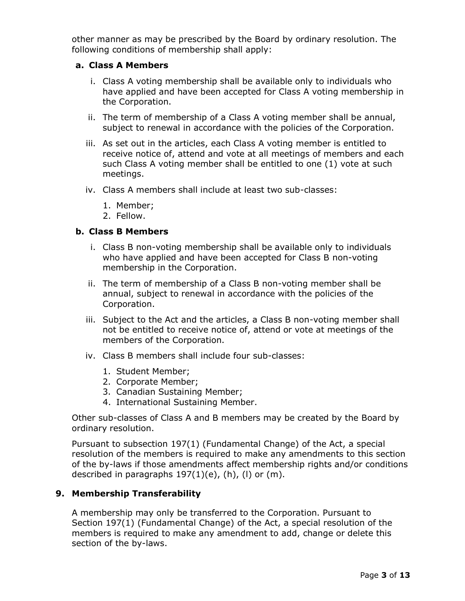other manner as may be prescribed by the Board by ordinary resolution. The following conditions of membership shall apply:

### **a. Class A Members**

- i. Class A voting membership shall be available only to individuals who have applied and have been accepted for Class A voting membership in the Corporation.
- ii. The term of membership of a Class A voting member shall be annual, subject to renewal in accordance with the policies of the Corporation.
- iii. As set out in the articles, each Class A voting member is entitled to receive notice of, attend and vote at all meetings of members and each such Class A voting member shall be entitled to one (1) vote at such meetings.
- iv. Class A members shall include at least two sub-classes:
	- 1. Member;
	- 2. Fellow.

## **b. Class B Members**

- i. Class B non-voting membership shall be available only to individuals who have applied and have been accepted for Class B non-voting membership in the Corporation.
- ii. The term of membership of a Class B non-voting member shall be annual, subject to renewal in accordance with the policies of the Corporation.
- iii. Subject to the Act and the articles, a Class B non-voting member shall not be entitled to receive notice of, attend or vote at meetings of the members of the Corporation.
- iv. Class B members shall include four sub-classes:
	- 1. Student Member;
	- 2. Corporate Member;
	- 3. Canadian Sustaining Member;
	- 4. International Sustaining Member.

Other sub-classes of Class A and B members may be created by the Board by ordinary resolution.

Pursuant to subsection 197(1) (Fundamental Change) of the Act, a special resolution of the members is required to make any amendments to this section of the by-laws if those amendments affect membership rights and/or conditions described in paragraphs  $197(1)(e)$ , (h), (l) or (m).

# **9. Membership Transferability**

A membership may only be transferred to the Corporation. Pursuant to Section 197(1) (Fundamental Change) of the Act, a special resolution of the members is required to make any amendment to add, change or delete this section of the by-laws.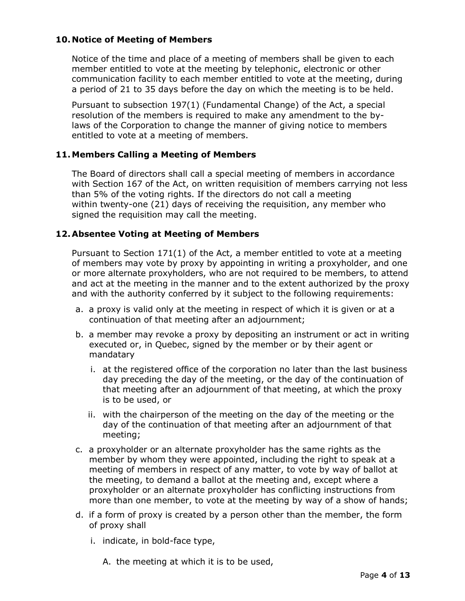# **10. Notice of Meeting of Members**

Notice of the time and place of a meeting of members shall be given to each member entitled to vote at the meeting by telephonic, electronic or other communication facility to each member entitled to vote at the meeting, during a period of 21 to 35 days before the day on which the meeting is to be held.

Pursuant to subsection 197(1) (Fundamental Change) of the Act, a special resolution of the members is required to make any amendment to the bylaws of the Corporation to change the manner of giving notice to members entitled to vote at a meeting of members.

# **11.Members Calling a Meeting of Members**

The Board of directors shall call a special meeting of members in accordance with Section 167 of the Act, on written requisition of members carrying not less than 5% of the voting rights. If the directors do not call a meeting within twenty-one (21) days of receiving the requisition, any member who signed the requisition may call the meeting.

# **12.Absentee Voting at Meeting of Members**

Pursuant to Section 171(1) of the Act, a member entitled to vote at a meeting of members may vote by proxy by appointing in writing a proxyholder, and one or more alternate proxyholders, who are not required to be members, to attend and act at the meeting in the manner and to the extent authorized by the proxy and with the authority conferred by it subject to the following requirements:

- a. a proxy is valid only at the meeting in respect of which it is given or at a continuation of that meeting after an adjournment;
- b. a member may revoke a proxy by depositing an instrument or act in writing executed or, in Quebec, signed by the member or by their agent or mandatary
	- i. at the registered office of the corporation no later than the last business day preceding the day of the meeting, or the day of the continuation of that meeting after an adjournment of that meeting, at which the proxy is to be used, or
	- ii. with the chairperson of the meeting on the day of the meeting or the day of the continuation of that meeting after an adjournment of that meeting;
- c. a proxyholder or an alternate proxyholder has the same rights as the member by whom they were appointed, including the right to speak at a meeting of members in respect of any matter, to vote by way of ballot at the meeting, to demand a ballot at the meeting and, except where a proxyholder or an alternate proxyholder has conflicting instructions from more than one member, to vote at the meeting by way of a show of hands;
- d. if a form of proxy is created by a person other than the member, the form of proxy shall
	- i. indicate, in bold-face type,
		- A. the meeting at which it is to be used,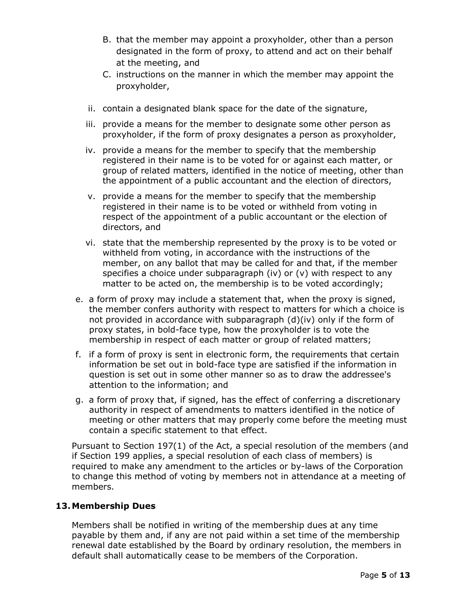- B. that the member may appoint a proxyholder, other than a person designated in the form of proxy, to attend and act on their behalf at the meeting, and
- C. instructions on the manner in which the member may appoint the proxyholder,
- ii. contain a designated blank space for the date of the signature,
- iii. provide a means for the member to designate some other person as proxyholder, if the form of proxy designates a person as proxyholder,
- iv. provide a means for the member to specify that the membership registered in their name is to be voted for or against each matter, or group of related matters, identified in the notice of meeting, other than the appointment of a public accountant and the election of directors,
- v. provide a means for the member to specify that the membership registered in their name is to be voted or withheld from voting in respect of the appointment of a public accountant or the election of directors, and
- vi. state that the membership represented by the proxy is to be voted or withheld from voting, in accordance with the instructions of the member, on any ballot that may be called for and that, if the member specifies a choice under subparagraph (iv) or  $(v)$  with respect to any matter to be acted on, the membership is to be voted accordingly;
- e. a form of proxy may include a statement that, when the proxy is signed, the member confers authority with respect to matters for which a choice is not provided in accordance with subparagraph  $(d)(iv)$  only if the form of proxy states, in bold-face type, how the proxyholder is to vote the membership in respect of each matter or group of related matters;
- f. if a form of proxy is sent in electronic form, the requirements that certain information be set out in bold-face type are satisfied if the information in question is set out in some other manner so as to draw the addressee's attention to the information; and
- g. a form of proxy that, if signed, has the effect of conferring a discretionary authority in respect of amendments to matters identified in the notice of meeting or other matters that may properly come before the meeting must contain a specific statement to that effect.

Pursuant to Section 197(1) of the Act, a special resolution of the members (and if Section 199 applies, a special resolution of each class of members) is required to make any amendment to the articles or by-laws of the Corporation to change this method of voting by members not in attendance at a meeting of members.

# **13.Membership Dues**

Members shall be notified in writing of the membership dues at any time payable by them and, if any are not paid within a set time of the membership renewal date established by the Board by ordinary resolution, the members in default shall automatically cease to be members of the Corporation.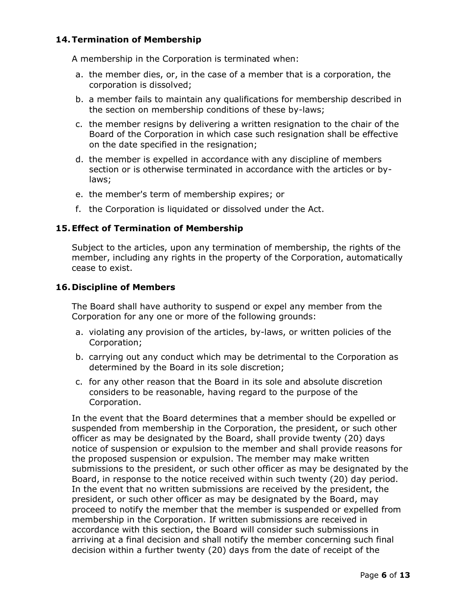# **14.Termination of Membership**

A membership in the Corporation is terminated when:

- a. the member dies, or, in the case of a member that is a corporation, the corporation is dissolved;
- b. a member fails to maintain any qualifications for membership described in the section on membership conditions of these by-laws;
- c. the member resigns by delivering a written resignation to the chair of the Board of the Corporation in which case such resignation shall be effective on the date specified in the resignation;
- d. the member is expelled in accordance with any discipline of members section or is otherwise terminated in accordance with the articles or bylaws;
- e. the member's term of membership expires; or
- f. the Corporation is liquidated or dissolved under the Act.

# **15.Effect of Termination of Membership**

Subject to the articles, upon any termination of membership, the rights of the member, including any rights in the property of the Corporation, automatically cease to exist.

# **16. Discipline of Members**

The Board shall have authority to suspend or expel any member from the Corporation for any one or more of the following grounds:

- a. violating any provision of the articles, by-laws, or written policies of the Corporation;
- b. carrying out any conduct which may be detrimental to the Corporation as determined by the Board in its sole discretion;
- c. for any other reason that the Board in its sole and absolute discretion considers to be reasonable, having regard to the purpose of the Corporation.

In the event that the Board determines that a member should be expelled or suspended from membership in the Corporation, the president, or such other officer as may be designated by the Board, shall provide twenty (20) days notice of suspension or expulsion to the member and shall provide reasons for the proposed suspension or expulsion. The member may make written submissions to the president, or such other officer as may be designated by the Board, in response to the notice received within such twenty (20) day period. In the event that no written submissions are received by the president, the president, or such other officer as may be designated by the Board, may proceed to notify the member that the member is suspended or expelled from membership in the Corporation. If written submissions are received in accordance with this section, the Board will consider such submissions in arriving at a final decision and shall notify the member concerning such final decision within a further twenty (20) days from the date of receipt of the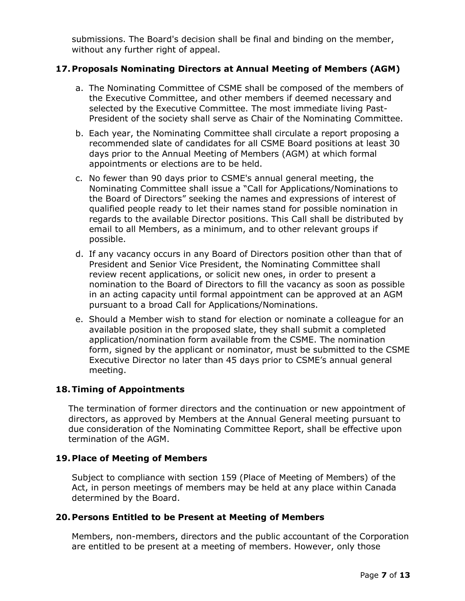submissions. The Board's decision shall be final and binding on the member, without any further right of appeal.

# **17.Proposals Nominating Directors at Annual Meeting of Members (AGM)**

- a. The Nominating Committee of CSME shall be composed of the members of the Executive Committee, and other members if deemed necessary and selected by the Executive Committee. The most immediate living Past-President of the society shall serve as Chair of the Nominating Committee.
- b. Each year, the Nominating Committee shall circulate a report proposing a recommended slate of candidates for all CSME Board positions at least 30 days prior to the Annual Meeting of Members (AGM) at which formal appointments or elections are to be held.
- c. No fewer than 90 days prior to CSME's annual general meeting, the Nominating Committee shall issue a "Call for Applications/Nominations to the Board of Directors" seeking the names and expressions of interest of qualified people ready to let their names stand for possible nomination in regards to the available Director positions. This Call shall be distributed by email to all Members, as a minimum, and to other relevant groups if possible.
- d. If any vacancy occurs in any Board of Directors position other than that of President and Senior Vice President, the Nominating Committee shall review recent applications, or solicit new ones, in order to present a nomination to the Board of Directors to fill the vacancy as soon as possible in an acting capacity until formal appointment can be approved at an AGM pursuant to a broad Call for Applications/Nominations.
- e. Should a Member wish to stand for election or nominate a colleague for an available position in the proposed slate, they shall submit a completed application/nomination form available from the CSME. The nomination form, signed by the applicant or nominator, must be submitted to the CSME Executive Director no later than 45 days prior to CSME's annual general meeting.

# **18.Timing of Appointments**

The termination of former directors and the continuation or new appointment of directors, as approved by Members at the Annual General meeting pursuant to due consideration of the Nominating Committee Report, shall be effective upon termination of the AGM.

# **19.Place of Meeting of Members**

Subject to compliance with section 159 (Place of Meeting of Members) of the Act, in person meetings of members may be held at any place within Canada determined by the Board.

#### **20.Persons Entitled to be Present at Meeting of Members**

Members, non-members, directors and the public accountant of the Corporation are entitled to be present at a meeting of members. However, only those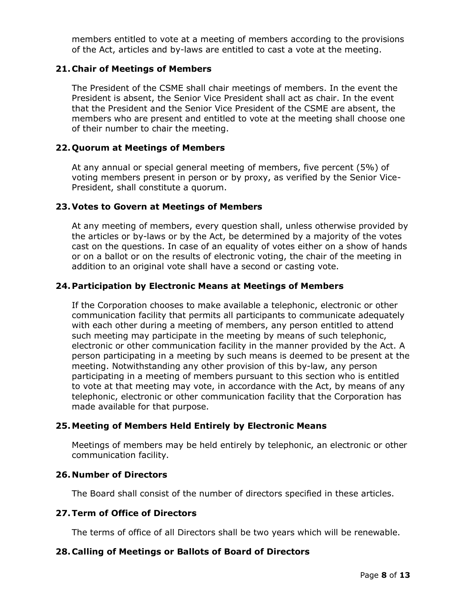members entitled to vote at a meeting of members according to the provisions of the Act, articles and by-laws are entitled to cast a vote at the meeting.

## **21.Chair of Meetings of Members**

The President of the CSME shall chair meetings of members. In the event the President is absent, the Senior Vice President shall act as chair. In the event that the President and the Senior Vice President of the CSME are absent, the members who are present and entitled to vote at the meeting shall choose one of their number to chair the meeting.

### **22.Quorum at Meetings of Members**

At any annual or special general meeting of members, five percent (5%) of voting members present in person or by proxy, as verified by the Senior Vice-President, shall constitute a quorum.

## **23.Votes to Govern at Meetings of Members**

At any meeting of members, every question shall, unless otherwise provided by the articles or by-laws or by the Act, be determined by a majority of the votes cast on the questions. In case of an equality of votes either on a show of hands or on a ballot or on the results of electronic voting, the chair of the meeting in addition to an original vote shall have a second or casting vote.

## **24.Participation by Electronic Means at Meetings of Members**

If the Corporation chooses to make available a telephonic, electronic or other communication facility that permits all participants to communicate adequately with each other during a meeting of members, any person entitled to attend such meeting may participate in the meeting by means of such telephonic, electronic or other communication facility in the manner provided by the Act. A person participating in a meeting by such means is deemed to be present at the meeting. Notwithstanding any other provision of this by-law, any person participating in a meeting of members pursuant to this section who is entitled to vote at that meeting may vote, in accordance with the Act, by means of any telephonic, electronic or other communication facility that the Corporation has made available for that purpose.

#### **25.Meeting of Members Held Entirely by Electronic Means**

Meetings of members may be held entirely by telephonic, an electronic or other communication facility.

#### **26. Number of Directors**

The Board shall consist of the number of directors specified in these articles.

#### **27.Term of Office of Directors**

The terms of office of all Directors shall be two years which will be renewable.

#### **28.Calling of Meetings or Ballots of Board of Directors**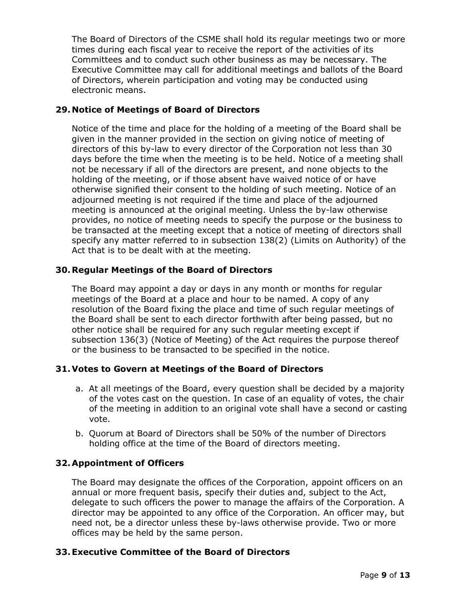The Board of Directors of the CSME shall hold its regular meetings two or more times during each fiscal year to receive the report of the activities of its Committees and to conduct such other business as may be necessary. The Executive Committee may call for additional meetings and ballots of the Board of Directors, wherein participation and voting may be conducted using electronic means.

# **29. Notice of Meetings of Board of Directors**

Notice of the time and place for the holding of a meeting of the Board shall be given in the manner provided in the section on giving notice of meeting of directors of this by-law to every director of the Corporation not less than 30 days before the time when the meeting is to be held. Notice of a meeting shall not be necessary if all of the directors are present, and none objects to the holding of the meeting, or if those absent have waived notice of or have otherwise signified their consent to the holding of such meeting. Notice of an adjourned meeting is not required if the time and place of the adjourned meeting is announced at the original meeting. Unless the by-law otherwise provides, no notice of meeting needs to specify the purpose or the business to be transacted at the meeting except that a notice of meeting of directors shall specify any matter referred to in subsection 138(2) (Limits on Authority) of the Act that is to be dealt with at the meeting.

# **30.Regular Meetings of the Board of Directors**

The Board may appoint a day or days in any month or months for regular meetings of the Board at a place and hour to be named. A copy of any resolution of the Board fixing the place and time of such regular meetings of the Board shall be sent to each director forthwith after being passed, but no other notice shall be required for any such regular meeting except if subsection 136(3) (Notice of Meeting) of the Act requires the purpose thereof or the business to be transacted to be specified in the notice.

# **31.Votes to Govern at Meetings of the Board of Directors**

- a. At all meetings of the Board, every question shall be decided by a majority of the votes cast on the question. In case of an equality of votes, the chair of the meeting in addition to an original vote shall have a second or casting vote.
- b. Quorum at Board of Directors shall be 50% of the number of Directors holding office at the time of the Board of directors meeting.

# **32.Appointment of Officers**

The Board may designate the offices of the Corporation, appoint officers on an annual or more frequent basis, specify their duties and, subject to the Act, delegate to such officers the power to manage the affairs of the Corporation. A director may be appointed to any office of the Corporation. An officer may, but need not, be a director unless these by-laws otherwise provide. Two or more offices may be held by the same person.

# **33.Executive Committee of the Board of Directors**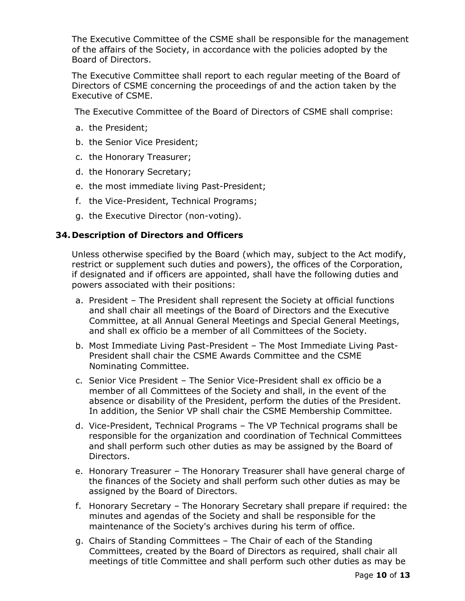The Executive Committee of the CSME shall be responsible for the management of the affairs of the Society, in accordance with the policies adopted by the Board of Directors.

The Executive Committee shall report to each regular meeting of the Board of Directors of CSME concerning the proceedings of and the action taken by the Executive of CSME.

The Executive Committee of the Board of Directors of CSME shall comprise:

- a. the President;
- b. the Senior Vice President;
- c. the Honorary Treasurer;
- d. the Honorary Secretary;
- e. the most immediate living Past-President;
- f. the Vice-President, Technical Programs;
- g. the Executive Director (non-voting).

## **34. Description of Directors and Officers**

Unless otherwise specified by the Board (which may, subject to the Act modify, restrict or supplement such duties and powers), the offices of the Corporation, if designated and if officers are appointed, shall have the following duties and powers associated with their positions:

- a. President The President shall represent the Society at official functions and shall chair all meetings of the Board of Directors and the Executive Committee, at all Annual General Meetings and Special General Meetings, and shall ex officio be a member of all Committees of the Society.
- b. Most Immediate Living Past-President The Most Immediate Living Past-President shall chair the CSME Awards Committee and the CSME Nominating Committee.
- c. Senior Vice President The Senior Vice-President shall ex officio be a member of all Committees of the Society and shall, in the event of the absence or disability of the President, perform the duties of the President. In addition, the Senior VP shall chair the CSME Membership Committee.
- d. Vice-President, Technical Programs The VP Technical programs shall be responsible for the organization and coordination of Technical Committees and shall perform such other duties as may be assigned by the Board of Directors.
- e. Honorary Treasurer The Honorary Treasurer shall have general charge of the finances of the Society and shall perform such other duties as may be assigned by the Board of Directors.
- f. Honorary Secretary The Honorary Secretary shall prepare if required: the minutes and agendas of the Society and shall be responsible for the maintenance of the Society's archives during his term of office.
- g. Chairs of Standing Committees The Chair of each of the Standing Committees, created by the Board of Directors as required, shall chair all meetings of title Committee and shall perform such other duties as may be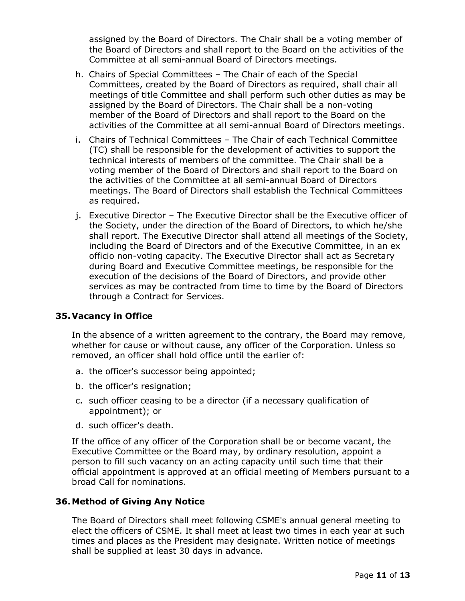assigned by the Board of Directors. The Chair shall be a voting member of the Board of Directors and shall report to the Board on the activities of the Committee at all semi-annual Board of Directors meetings.

- h. Chairs of Special Committees The Chair of each of the Special Committees, created by the Board of Directors as required, shall chair all meetings of title Committee and shall perform such other duties as may be assigned by the Board of Directors. The Chair shall be a non-voting member of the Board of Directors and shall report to the Board on the activities of the Committee at all semi-annual Board of Directors meetings.
- i. Chairs of Technical Committees The Chair of each Technical Committee (TC) shall be responsible for the development of activities to support the technical interests of members of the committee. The Chair shall be a voting member of the Board of Directors and shall report to the Board on the activities of the Committee at all semi-annual Board of Directors meetings. The Board of Directors shall establish the Technical Committees as required.
- j. Executive Director The Executive Director shall be the Executive officer of the Society, under the direction of the Board of Directors, to which he/she shall report. The Executive Director shall attend all meetings of the Society, including the Board of Directors and of the Executive Committee, in an ex officio non-voting capacity. The Executive Director shall act as Secretary during Board and Executive Committee meetings, be responsible for the execution of the decisions of the Board of Directors, and provide other services as may be contracted from time to time by the Board of Directors through a Contract for Services.

# **35.Vacancy in Office**

In the absence of a written agreement to the contrary, the Board may remove, whether for cause or without cause, any officer of the Corporation. Unless so removed, an officer shall hold office until the earlier of:

- a. the officer's successor being appointed;
- b. the officer's resignation;
- c. such officer ceasing to be a director (if a necessary qualification of appointment); or
- d. such officer's death.

If the office of any officer of the Corporation shall be or become vacant, the Executive Committee or the Board may, by ordinary resolution, appoint a person to fill such vacancy on an acting capacity until such time that their official appointment is approved at an official meeting of Members pursuant to a broad Call for nominations.

#### **36.Method of Giving Any Notice**

The Board of Directors shall meet following CSME's annual general meeting to elect the officers of CSME. It shall meet at least two times in each year at such times and places as the President may designate. Written notice of meetings shall be supplied at least 30 days in advance.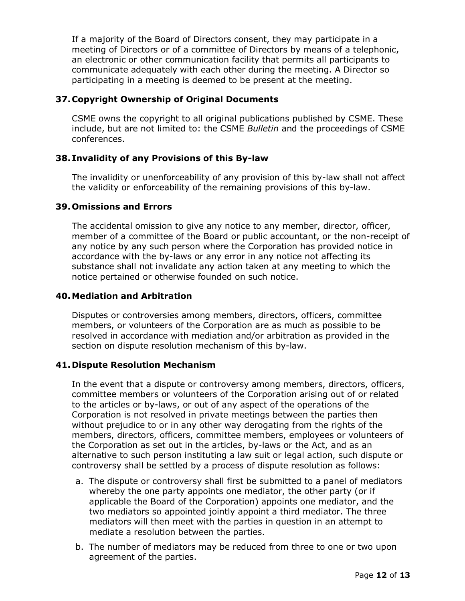If a majority of the Board of Directors consent, they may participate in a meeting of Directors or of a committee of Directors by means of a telephonic, an electronic or other communication facility that permits all participants to communicate adequately with each other during the meeting. A Director so participating in a meeting is deemed to be present at the meeting.

## **37.Copyright Ownership of Original Documents**

CSME owns the copyright to all original publications published by CSME. These include, but are not limited to: the CSME *Bulletin* and the proceedings of CSME conferences.

## **38. Invalidity of any Provisions of this By-law**

The invalidity or unenforceability of any provision of this by-law shall not affect the validity or enforceability of the remaining provisions of this by-law.

## **39.Omissions and Errors**

The accidental omission to give any notice to any member, director, officer, member of a committee of the Board or public accountant, or the non-receipt of any notice by any such person where the Corporation has provided notice in accordance with the by-laws or any error in any notice not affecting its substance shall not invalidate any action taken at any meeting to which the notice pertained or otherwise founded on such notice.

### **40.Mediation and Arbitration**

Disputes or controversies among members, directors, officers, committee members, or volunteers of the Corporation are as much as possible to be resolved in accordance with mediation and/or arbitration as provided in the section on dispute resolution mechanism of this by-law.

#### **41. Dispute Resolution Mechanism**

In the event that a dispute or controversy among members, directors, officers, committee members or volunteers of the Corporation arising out of or related to the articles or by-laws, or out of any aspect of the operations of the Corporation is not resolved in private meetings between the parties then without prejudice to or in any other way derogating from the rights of the members, directors, officers, committee members, employees or volunteers of the Corporation as set out in the articles, by-laws or the Act, and as an alternative to such person instituting a law suit or legal action, such dispute or controversy shall be settled by a process of dispute resolution as follows:

- a. The dispute or controversy shall first be submitted to a panel of mediators whereby the one party appoints one mediator, the other party (or if applicable the Board of the Corporation) appoints one mediator, and the two mediators so appointed jointly appoint a third mediator. The three mediators will then meet with the parties in question in an attempt to mediate a resolution between the parties.
- b. The number of mediators may be reduced from three to one or two upon agreement of the parties.